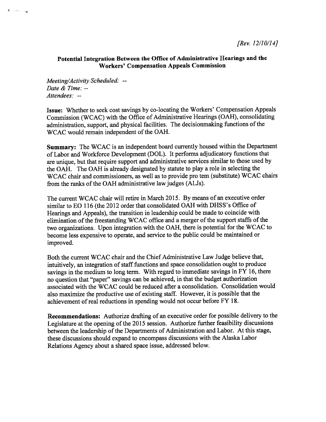## Potential Integration Between the Office of Administrative Hearings and the Workers' Compensation Appeals Commission

Meeting/Activity Scheduled: -- Date & Time: --Attendees: --

 $r \rightarrow 1$ 

Issue: Whether to seek cost savings by co-locating the Workers' Compensation Appeals Commission (WCAC) with the Office of Administrative Hearings (OAH), consolidating administration, support, and physical facilities. The decisionmaking functions of the WCAC would remain independent of the OAH.

Summary: The WCAC is an independent board currently housed within the Department of Labor and Workforce Development (DOL). It performs adjudicatory functions that are unique, but that require suppor<sup>t</sup> and administrative services similar to those used by the OAH. The OAH is already designated by statute to <sup>p</sup>lay <sup>a</sup> role in selecting the WCAC chair and commissioners, as well as to provide pro tem (substitute) WCAC chairs from the ranks of the OAH administrative law judges (ALJs).

The current WCAC chair will retire in March 2015. By means of an executive order similar to EO <sup>116</sup> (the <sup>2012</sup> order that consolidated OAH with DHSS's Office of Hearings and Appeals), the transition in leadership could be made to coincide with elimination of the freestanding WCAC office and a merger of the support staffs of the two organizations. Upon integration with the OAH, there is potential for the WCAC to become less expensive to operate, and service to the public could be maintained or improved.

Both the current WCAC chair and the Chief Administrative Law Judge believe that, intuitively, an integration of staff functions and space consolidation ought to produce savings in the medium to long term. With regar<sup>d</sup> to immediate savings in FY 16, there no question that "paper" savings can be achieved, in that the budget authorization associated with the WCAC could be reduced after <sup>a</sup> consolidation. Consolidation would also maximize the productive use of existing staff. However, it is possible that the achievement of real reductions in spending would not occur before FY 18.

Recommendations: Authorize drafting of an executive order for possible delivery to the Legislature at the opening of the <sup>2015</sup> session. Authorize further feasibility discussions between the leadership of the Departments of Administration and Labor. At this stage, these discussions should expand to encompass discussions with the Alaska Labor Relations Agency about <sup>a</sup> shared space issue, addressed below.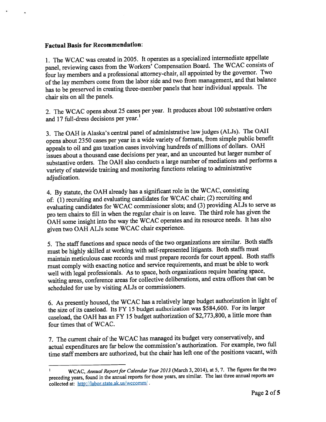## Factual Basis for Recommendation:

1. The WCAC was created in 2005. It operates as <sup>a</sup> specialized intermediate appellate panel, reviewing cases from the Workers' Compensation Board. The WCAC consists of four lay members and <sup>a</sup> professional attorney-chair, all appointed by the governor. Two ofthe lay members come from the labor side and two from management, and that balance has to be preserve<sup>d</sup> in creating three-member panels that hear individual appeals. The chair sits on all the panels.

2. The WCAC opens about <sup>25</sup> cases per year. It produces about <sup>100</sup> substantive orders and 17 full-dress decisions per year.'

3. The OAH is Alaska's central pane<sup>l</sup> of administrative law judges (ALJs). The OAH opens about <sup>2350</sup> cases per year in <sup>a</sup> wide variety of formats, from simple public benefit appeals to oil and gas taxation cases involving hundreds of millions of dollars. OAH issues about <sup>a</sup> thousand case decisions per year, and an uncounted but larger number of substantive orders. The OAH also conducts <sup>a</sup> large number of mediations and performs <sup>a</sup> variety of statewide training and monitoring functions relating to administrative adjudication.

4. By statute, the OAH already has <sup>a</sup> significant role in the WCAC, consisting of: (1) recruiting and evaluating candidates for WCAC chair; (2) recruiting and evaluating candidates for WCAC commissioner slots; and (3) providing ALJs to serve as pro tem chairs to fill in when the regular chair is on leave. The third role has <sup>g</sup>iven the OAH some insight into the way the WCAC operates and its resource needs. It has also <sup>g</sup>iven two OAR ALJs some WCAC chair experience.

5. The staff functions and space needs of the two organizations are similar. Both staffs must be highly skilled at working with self-represented litigants. Both staffs must maintain meticulous case records and must prepare records for court appeal. Both staffs must comply with exacting notice and service requirements, and must be able to work well with legal professionals. As to space, both organizations require hearing space, waiting areas, conference areas for collective deliberations, and extra offices that can be scheduled for use by visiting ALJs or commissioners.

6. As presently housed, the WCAC has <sup>a</sup> relatively large budget authorization in light of the size of its caseload. Its FY <sup>15</sup> budget authorization was \$584,600. For its larger caseload, the OAH has an FY <sup>15</sup> budget authorization of \$2,773,800, <sup>a</sup> little more than four times that of WCAC.

7. The current chair of the WCAC has managed its budget very conservatively, and actual expenditures are far below the commission's authorization. For example, two full time staff members are authorized, but the chair has left one of the positions vacant, with

WCAC, Annual Report for Calendar Year 2013 (March 3, 2014), at 5, 7. The figures for the two  $\mathbf{1}$ preceding years, found in the annual reports for those years, are similar. The last three annual reports are collected at: http://labor.state.ak.us/wccomm/.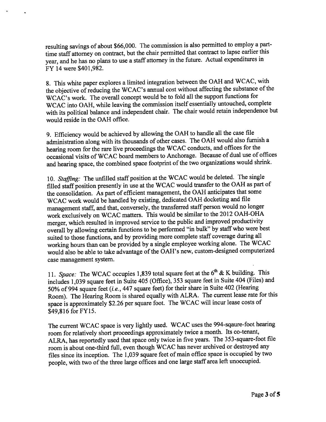resulting savings of about \$66,000. The commission is also permitted to employ <sup>a</sup> parttime staff attorney on contract, but the chair permitted that contract to lapse earlier this year, and he has no <sup>p</sup>lans to use <sup>a</sup> staff attorney in the future. Actual expenditures in FY 14 were \$401,982.

8. This white paper explores <sup>a</sup> limited integration between the OAR and WCAC, with the objective of reducing the WCAC's annual cost without affecting the substance of the WCAC's work. The overall concep<sup>t</sup> would be to fold all the suppor<sup>t</sup> functions for WCAC into OAH, while leaving the commission itself essentially untouched, complete with its political balance and independent chair. The chair would retain independence but would reside in the OAH office.

9. Efficiency would be achieved by allowing the OAR to handle all the case file administration along with its thousands of other cases. The OAH would also furnish <sup>a</sup> hearing room for the rare live proceedings the WCAC conducts, and offices for the occasional visits of WCAC board members to Anchorage. Because of dual use of offices and hearing space, the combined space footprint of the two organizations would shrink.

10. Staffing: The unfilled staff position at the WCAC would be deleted. The single filled staff position presently in use at the WCAC would transfer to the OAH as part of the consolidation. As par<sup>t</sup> of efficient management, the OAR anticipates that some WCAC work would be handled by existing, dedicated OAR docketing and file managemen<sup>t</sup> staff, and that, conversely, the transferred staff person would no longer work exclusively on WCAC matters. This would be similar to the <sup>2012</sup> OAH-OHA merger, which resulted in improved service to the public and improved productivity overall by allowing certain functions to be performed "in bulk" by staff who were best suited to those functions, and by providing more complete staff coverage during all working hours than can be provided by <sup>a</sup> single employee working alone. The WCAC would also be able to take advantage of the OAH's new, custom-designed computerized case management system.

11. Space: The WCAC occupies 1,839 total square feet at the  $6<sup>th</sup>$  & K building. This includes 1,039 square feet in Suite <sup>405</sup> (Office), <sup>353</sup> square feet in Suite <sup>404</sup> (Files) and 50% of <sup>994</sup> square feet (i.e., <sup>447</sup> square feet) for their share in Suite <sup>402</sup> (Hearing Room). The Hearing Room is shared equally with ALRA. The current lease rate for this space is approximately \$2.26 per square foot. The WCAC will incur lease costs of \$49,816 for FY15.

The current WCAC space is very lightly used. WCAC uses the 994-sqaure-foot hearing room for relatively short proceedings approximately twice <sup>a</sup> month. Its co-tenant, ALRA, has reportedly used that space only twice in five years. The 353-square-foot file room is about one-third full, even though WCAC has never archived or destroyed any files since its inception. The 1,039 square feet of main office space is occupied by two people, with two of the three large offices and one large staff area left unoccupied.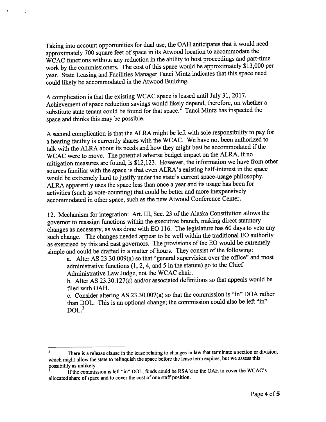Taking into account opportunities for dual use, the OAH anticipates that it would need approximately <sup>700</sup> square feet of space in its Atwood location to accommodate the WCAC functions without any reduction in the ability to host proceedings and part-time work by the commissioners. The cost of this space would be approximately \$13,000 per year. State Leasing and Facilities Manager Tanci Mintz indicates that this space need could likely be accommodated in the Atwood Building.

<sup>A</sup> complication is that the existing WCAC space is leased until July 31, 2017. Achievement of space reduction savings would likely depend, therefore, on whether a substitute state tenant could be found for that space.<sup>2</sup> Tanci Mintz has inspected the space and thinks this may be possible.

<sup>A</sup> second complication is that the ALRA might be left with sole responsibility to pay for <sup>a</sup> hearing facility is currently shares with the WCAC. We have not been authorized to talk with the ALRA about its needs and how they might best be accommodated if the WCAC were to move. The potential adverse budget impact on the ALRA, if no mitigation measures are found, is \$12,123. However, the information we have from other sources familiar with the space is that even ALRA's existing half-interest in the space would be extremely hard to justify under the state's current space-usage <sup>p</sup>hilosophy. ALRA apparently uses the space less than once <sup>a</sup> year and its usage has been for activities (such as vote-counting) that could be better and more inexpensively accommodated in other space, such as the new Atwood Conference Center.

12. Mechanism for integration: Art. III, Sec. 23 of the Alaska Constitution allows the governor to reassign functions within the executive branch, making direct statutory changes as necessary, as was done with EQ 116. The legislature has <sup>60</sup> days to veto any such change. The changes needed appear to be well within the traditional EQ authority as exercised by this and past governors. The provisions of the EO would be extremely simple and could be drafted in a matter of hours. They consist of the following:

a. Alter AS 23.30.009(a) so that "general supervision over the office" and most administrative functions  $(1, 2, 4, 4)$  and 5 in the statute) go to the Chief Administrative Law Judge, not the WCAC chair.

b. Alter AS 23.30.127(c) and/or associated definitions so that appeals would be filed with OAH.

c. Consider altering AS <sup>23</sup> .30.007(a) so that the commission is "in" DOA rather than DOL. This is an optional change; the commission could also be left "in"  $DOL.<sup>3</sup>$ 

<sup>&</sup>lt;sup>2</sup> There is a release clause in the lease relating to changes in law that terminate a section or division, which might allow the state to relinquish the space before the lease term expires, but we assess this possibility as unlikely.

If the commission is left "in" DOL, funds could be RSA'd to the OAH to cover the WCAC's allocated share of space and to cover the cost of one staff position.